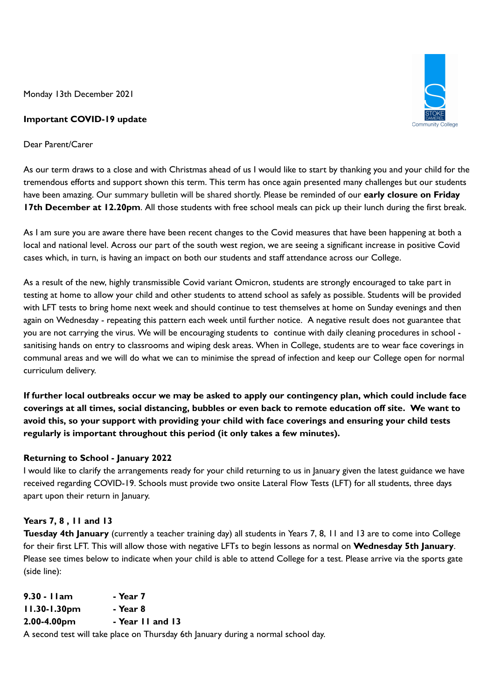Monday 13th December 2021

### **Important COVID-19 update**

Dear Parent/Carer

As our term draws to a close and with Christmas ahead of us I would like to start by thanking you and your child for the tremendous efforts and support shown this term. This term has once again presented many challenges but our students have been amazing. Our summary bulletin will be shared shortly. Please be reminded of our **early closure on Friday 17th December at 12.20pm**. All those students with free school meals can pick up their lunch during the first break.

As I am sure you are aware there have been recent changes to the Covid measures that have been happening at both a local and national level. Across our part of the south west region, we are seeing a significant increase in positive Covid cases which, in turn, is having an impact on both our students and staff attendance across our College.

As a result of the new, highly transmissible Covid variant Omicron, students are strongly encouraged to take part in testing at home to allow your child and other students to attend school as safely as possible. Students will be provided with LFT tests to bring home next week and should continue to test themselves at home on Sunday evenings and then again on Wednesday - repeating this pattern each week until further notice. A negative result does not guarantee that you are not carrying the virus. We will be encouraging students to continue with daily cleaning procedures in school sanitising hands on entry to classrooms and wiping desk areas. When in College, students are to wear face coverings in communal areas and we will do what we can to minimise the spread of infection and keep our College open for normal curriculum delivery.

If further local outbreaks occur we may be asked to apply our contingency plan, which could include face coverings at all times, social distancing, bubbles or even back to remote education off site. We want to **avoid this, so your support with providing your child with face coverings and ensuring your child tests regularly is important throughout this period (it only takes a few minutes).**

# **Returning to School - January 2022**

I would like to clarify the arrangements ready for your child returning to us in January given the latest guidance we have received regarding COVID-19. Schools must provide two onsite Lateral Flow Tests (LFT) for all students, three days apart upon their return in January.

# **Years 7, 8 , 11 and 13**

**Tuesday 4th January** (currently a teacher training day) all students in Years 7, 8, 11 and 13 are to come into College for their first LFT. This will allow those with negative LFTs to begin lessons as normal on **Wednesday 5th January**. Please see times below to indicate when your child is able to attend College for a test. Please arrive via the sports gate (side line):

| 9.30 - Ilam       | - Year 7         |
|-------------------|------------------|
| $11.30 - 1.30$ pm | - Year 8         |
| 2.00-4.00pm       | - Year II and 13 |
|                   |                  |

A second test will take place on Thursday 6th January during a normal school day.